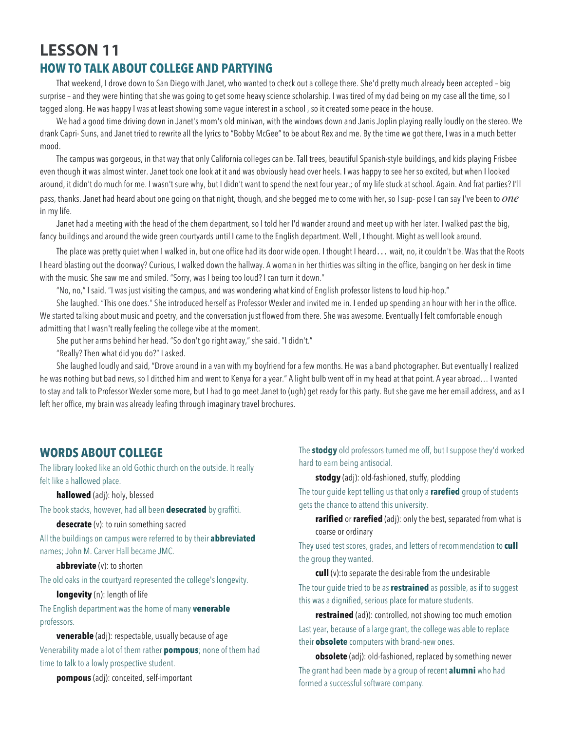# **LESSON 11 HOW TO TALK ABOUT COLLEGE AND PARTYING**

That weekend, I drove down to San Diego with Janet, who wanted to check out a college there. She'd pretty much already been accepted – big surprise – and they were hinting that she was going to get some heavy science scholarship. I was tired of my dad being on my case all the time, so I tagged along. He was happy I was at least showing some vague interest in a school , so it created some peace in the house.

We had a good time driving down in Janet's mom's old minivan, with the windows down and Janis Joplin playing really loudly on the stereo. We drank Capri- Suns, and Janet tried to rewrite all the lyrics to "Bobby McGee" to be about Rex and me. By the time we got there, I was in a much better mood.

The campus was gorgeous, in that way that only California colleges can be. Tall trees, beautiful Spanish-style buildings, and kids playing Frisbee even though it was almost winter. Janet took one look at it and was obviously head over heels. I was happy to see her so excited, but when I looked around, it didn't do much for me. I wasn't sure why, but I didn't want to spend the next four year.; of my life stuck at school. Again. And frat parties? I'll pass, thanks. Janet had heard about one going on that night, though, and she begged me to come with her, so I sup- pose I can say I've been to *one*  in my life.

Janet had a meeting with the head of the chem department, so I told her I'd wander around and meet up with her later. I walked past the big, fancy buildings and around the wide green courtyards until I came to the English department. Well , I thought. Might as well look around.

The place was pretty quiet when I walked in, but one office had its door wide open. I thought I heard… wait, no, it couldn't be. Was that the Roots I heard blasting out the doorway? Curious, I walked down the hallway. A woman in her thirties was silting in the office, banging on her desk in time with the music. She saw me and smiled. "Sorry, was I being too loud? I can turn it down."

"No, no," I said. "I was just visiting the campus, and was wondering what kind of English professor listens to loud hip-hop."

She laughed. "This one does." She introduced herself as Professor Wexler and invited me in. I ended up spending an hour with her in the office. We started talking about music and poetry, and the conversation just flowed from there. She was awesome. Eventually I felt comfortable enough admitting that I wasn't really feeling the college vibe at the moment.

She put her arms behind her head. "So don't go right away," she said. "I didn't."

"Really? Then what did you do?" I asked.

She laughed loudly and said, "Drove around in a van with my boyfriend for a few months. He was a band photographer. But eventually I realized he was nothing but bad news, so I ditched him and went to Kenya for a year." A light bulb went off in my head at that point. A year abroad… I wanted to stay and talk to Professor Wexler some more, but I had to go meet Janet to (ugh) get ready for this party. But she gave me her email address, and as I left her office, my brain was already leafing through imaginary travel brochures.

# **WORDS ABOUT COLLEGE**

The library looked like an old Gothic church on the outside. It really felt like a hallowed place.

### **hallowed** (adj): holy, blessed

The book stacks, however, had all been **desecrated** by graffiti.

# **desecrate** (v): to ruin something sacred

All the buildings on campus were referred to by their **abbreviated**  names; John M. Carver Hall became JMC.

### **abbreviate** (v): to shorten

The old oaks in the courtyard represented the college's longevity.

#### **longevity** (n): length of life

The English department was the home of many **venerable** professors.

**venerable** (adj): respectable, usually because of age Venerability made a lot of them rather **pompous**; none of them had time to talk to a lowly prospective student.

**pompous** (adj): conceited, self-important

The **stodgy** old professors turned me off, but I suppose they'd worked hard to earn being antisocial.

**stodgy** (adj): old-fashioned, stuffy, plodding

The tour guide kept telling us that only a **rarefied** group of students gets the chance to attend this university.

**rarified** or **rarefied** (adj): only the best, separated from what is coarse or ordinary

They used test scores, grades, and letters of recommendation to **cull** the group they wanted.

**cull** (v):to separate the desirable from the undesirable The tour guide tried to be as **restrained** as possible, as if to suggest this was a dignified, serious place for mature students.

**restrained** (ad)): controlled, not showing too much emotion Last year, because of a large grant, the college was able to replace their **obsolete** computers with brand-new ones.

**obsolete** (adj): old-fashioned, replaced by something newer The grant had been made by a group of recent **alumni** who had formed a successful software company.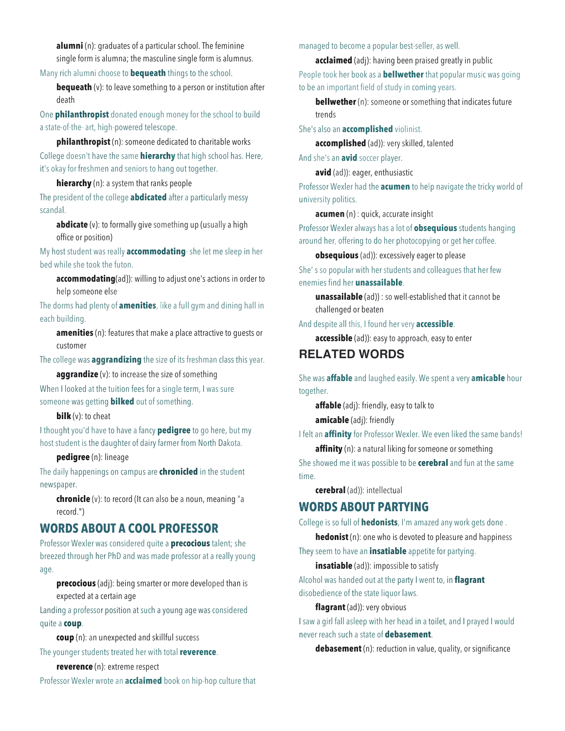**alumni** (n): graduates of a particular school. The feminine single form is alumna; the masculine single form is alumnus.

Many rich alumni choose to **bequeath** things to the school.

**bequeath** (v): to leave something to a person or institution after death

One **philanthropist** donated enough money for the school to build a state-of-the- art, high-powered telescope.

**philanthropist** (n): someone dedicated to charitable works College doesn't have the same **hierarchy** that high school has. Here, it's okay for freshmen and seniors to hang out together.

**hierarchy** (n): a system that ranks people

The president of the college **abdicated** after a particularly messy scandal.

**abdicate** (v): to formally give something up (usually a high office or position)

My host student was really **accommodating**- she let me sleep in her bed while she took the futon.

**accommodating**(ad}): willing to adjust one's actions in order to help someone else

The dorms had plenty of **amenities**, like a full gym and dining hall in each building.

**amenities** (n): features that make a place attractive to guests or customer

The college was **aggrandizing** the size of its freshman class this year.

**aggrandize** (v): to increase the size of something

When I looked at the tuition fees for a single term, I was sure someone was getting **bilked** out of something.

**bilk** (v): to cheat

I thought you'd have to have a fancy **pedigree** to go here, but my host student is the daughter of dairy farmer from North Dakota.

**pedigree** (n): lineage

The daily happenings on campus are **chronicled** in the student newspaper.

**chronicle** (v): to record (It can also be a noun, meaning "a record.")

# **WORDS ABOUT A COOL PROFESSOR**

Professor Wexler was considered quite a **precocious** talent; she breezed through her PhD and was made professor at a really young age.

**precocious** (adj): being smarter or more developed than is expected at a certain age

Landing a professor position at such a young age was considered quite a **coup**.

**coup** (n): an unexpected and skillful success

The younger students treated her with total **reverence**.

**reverence** (n): extreme respect

Professor Wexler wrote an **acclaimed** book on hip-hop culture that

managed to become a popular best-seller, as well.

**acclaimed** (adj): having been praised greatly in public People took her book as a **bellwether** that popular music was going to be an important field of study in coming years.

**bellwether** (n): someone or something that indicates future trends

She's also an **accomplished** violinist.

**accomplished** (ad)): very skilled, talented

And she's an **avid** soccer player.

**avid** (ad)): eager, enthusiastic

Professor Wexler had the **acumen** to help navigate the tricky world of university politics.

**acumen** (n) : quick, accurate insight

Professor Wexler always has a lot of **obsequious** students hanging around her, offering to do her photocopying or get her coffee.

**obsequious** (ad)): excessively eager to please

She' s so popular with her students and colleagues that her few enemies find her **unassailable**.

**unassailable** (ad)) : so well-established that it cannot be challenged or beaten

And despite all this, I found her very **accessible**.

**accessible** (ad)): easy to approach, easy to enter

# **RELATED WORDS**

She was **affable** and laughed easily. We spent a very **amicable** hour together.

**affable** (adj): friendly, easy to talk to

**amicable** (adj): friendly

I felt an **affinity** for Professor Wexler. We even liked the same bands!

**affinity** (n): a natural liking for someone or something

She showed me it was possible to be **cerebral** and fun at the same time.

**cerebral** (ad)): intellectual

**WORDS ABOUT PARTYING**

College is so full of **hedonists**, I'm amazed any work gets done .

**hedonist** (n): one who is devoted to pleasure and happiness They seem to have an **insatiable** appetite for partying.

**insatiable** (ad)): impossible to satisfy

Alcohol was handed out at the party I went to, in **flagrant** disobedience of the state liquor laws.

**flagrant** (ad)): very obvious

I saw a girl fall asleep with her head in a toilet, and I prayed I would never reach such a state of **debasement**.

**debasement** (n): reduction in value, quality, or significance